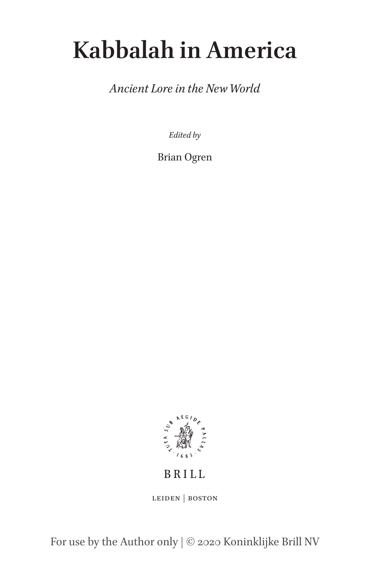# **Kabbalah in America**

*Ancient Lore in the New World*

*Edited by*

Brian Ogren



# **BRILL**

LEIDEN | BOSTON

For use by the Author only | © 2020 Koninklijke Brill NV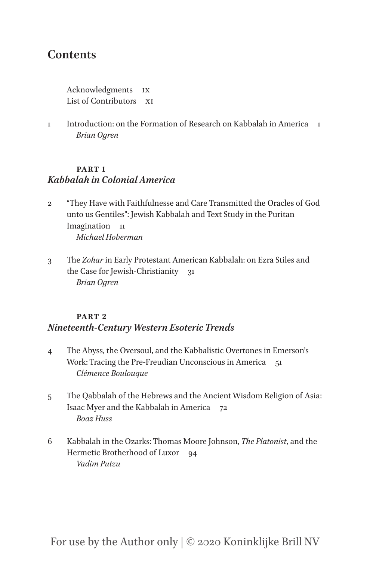# **Contents**

Acknowledgments ix List of Contributors xi

1 Introduction: on the Formation of Research on Kabbalah in America 1 *Brian Ogren*

# **part 1** *Kabbalah in Colonial America*

- 2 "They Have with Faithfulnesse and Care Transmitted the Oracles of God unto us Gentiles": Jewish Kabbalah and Text Study in the Puritan Imagination 11 *Michael Hoberman*
- 3 The *Zohar* in Early Protestant American Kabbalah: on Ezra Stiles and the Case for Jewish-Christianity 31 *Brian Ogren*

## **part 2** *Nineteenth-Century Western Esoteric Trends*

- 4 The Abyss, the Oversoul, and the Kabbalistic Overtones in Emerson's Work: Tracing the Pre-Freudian Unconscious in America 51 *Clémence Boulouque*
- 5 The Qabbalah of the Hebrews and the Ancient Wisdom Religion of Asia: Isaac Myer and the Kabbalah in America 72 *Boaz Huss*
- 6 Kabbalah in the Ozarks: Thomas Moore Johnson, *The Platonist*, and the Hermetic Brotherhood of Luxor 94 *Vadim Putzu*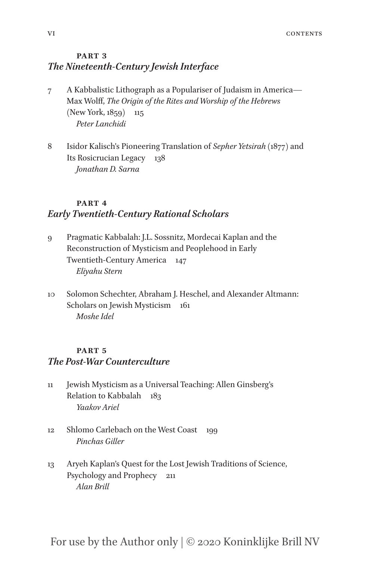#### **part 3** *The Nineteenth-Century Jewish Interface*

- 7 A Kabbalistic Lithograph as a Populariser of Judaism in America— Max Wolff, *The Origin of the Rites and Worship of the Hebrews* (New York, 1859) 115 *Peter Lanchidi*
- 8 Isidor Kalisch's Pioneering Translation of *Sepher Yetsirah* (1877) and Its Rosicrucian Legacy 138 *Jonathan D. Sarna*

#### **part 4** *Early Twentieth-Century Rational Scholars*

- 9 Pragmatic Kabbalah: J.L. Sossnitz, Mordecai Kaplan and the Reconstruction of Mysticism and Peoplehood in Early Twentieth-Century America 147 *Eliyahu Stern*
- 10 Solomon Schechter, Abraham J. Heschel, and Alexander Altmann: Scholars on Jewish Mysticism 161 *Moshe Idel*

#### **part 5** *The Post-War Counterculture*

- 11 Jewish Mysticism as a Universal Teaching: Allen Ginsberg's Relation to Kabbalah 183 *Yaakov Ariel*
- 12 Shlomo Carlebach on the West Coast 199 *Pinchas Giller*
- 13 Aryeh Kaplan's Quest for the Lost Jewish Traditions of Science, Psychology and Prophecy 211 *Alan Brill*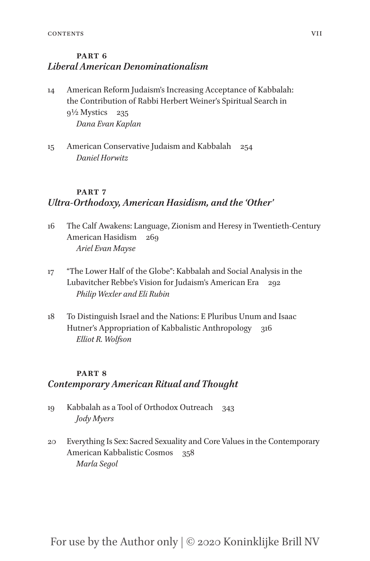# **part 6** *Liberal American Denominationalism*

- 14 American Reform Judaism's Increasing Acceptance of Kabbalah: the Contribution of Rabbi Herbert Weiner's Spiritual Search in  $9\frac{1}{2}$  Mystics 235 *Dana Evan Kaplan*
- 15 American Conservative Judaism and Kabbalah 254 *Daniel Horwitz*

# **PART 7** *Ultra-Orthodoxy, American Hasidism, and the 'Other'*

- 16 The Calf Awakens: Language, Zionism and Heresy in Twentieth-Century American Hasidism 269 *Ariel Evan Mayse*
- 17 "The Lower Half of the Globe": Kabbalah and Social Analysis in the Lubavitcher Rebbe's Vision for Judaism's American Era 292 *Philip Wexler and Eli Rubin*
- 18 To Distinguish Israel and the Nations: E Pluribus Unum and Isaac Hutner's Appropriation of Kabbalistic Anthropology 316 *Elliot R. Wolfson*

#### **part 8**

# *Contemporary American Ritual and Thought*

- 19 Kabbalah as a Tool of Orthodox Outreach 343 *Jody Myers*
- 20 Everything Is Sex: Sacred Sexuality and Core Values in the Contemporary American Kabbalistic Cosmos 358 *Marla Segol*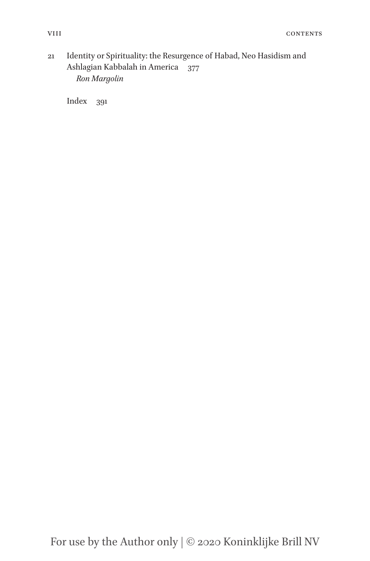21 Identity or Spirituality: the Resurgence of Habad, Neo Hasidism and Ashlagian Kabbalah in America 377 *Ron Margolin*

Index 391

For use by the Author only | © 2020 Koninklijke Brill NV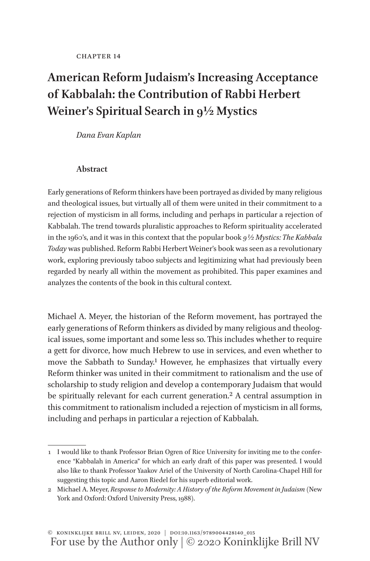# **American Reform Judaism's Increasing Acceptance of Kabbalah: the Contribution of Rabbi Herbert Weiner's Spiritual Search in 9½ Mystics**

*Dana Evan Kaplan*

#### **Abstract**

Early generations of Reform thinkers have been portrayed as divided by many religious and theological issues, but virtually all of them were united in their commitment to a rejection of mysticism in all forms, including and perhaps in particular a rejection of Kabbalah. The trend towards pluralistic approaches to Reform spirituality accelerated in the 1960's, and it was in this context that the popular book *9½ Mystics: The Kabbala Today* was published. Reform Rabbi Herbert Weiner's book was seen as a revolutionary work, exploring previously taboo subjects and legitimizing what had previously been regarded by nearly all within the movement as prohibited. This paper examines and analyzes the contents of the book in this cultural context.

Michael A. Meyer, the historian of the Reform movement, has portrayed the early generations of Reform thinkers as divided by many religious and theological issues, some important and some less so. This includes whether to require a gett for divorce, how much Hebrew to use in services, and even whether to move the Sabbath to Sunday.1 However, he emphasizes that virtually every Reform thinker was united in their commitment to rationalism and the use of scholarship to study religion and develop a contemporary Judaism that would be spiritually relevant for each current generation.<sup>2</sup> A central assumption in this commitment to rationalism included a rejection of mysticism in all forms, including and perhaps in particular a rejection of Kabbalah.

<sup>1</sup> I would like to thank Professor Brian Ogren of Rice University for inviting me to the conference "Kabbalah in America" for which an early draft of this paper was presented. I would also like to thank Professor Yaakov Ariel of the University of North Carolina-Chapel Hill for suggesting this topic and Aaron Riedel for his superb editorial work.

<sup>2</sup> Michael A. Meyer, *Response to Modernity: A History of the Reform Movement in Judaism* (New York and Oxford: Oxford University Press, 1988).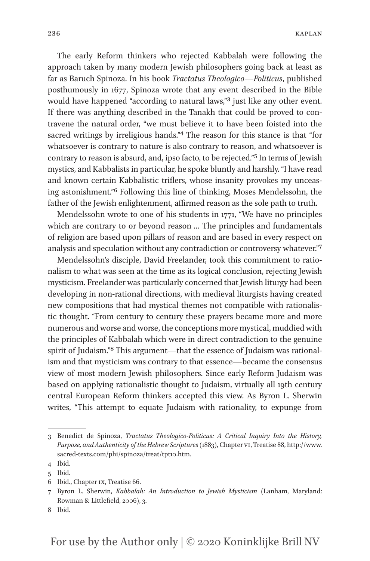The early Reform thinkers who rejected Kabbalah were following the approach taken by many modern Jewish philosophers going back at least as far as Baruch Spinoza. In his book *Tractatus Theologico—Politicus*, published posthumously in 1677, Spinoza wrote that any event described in the Bible would have happened "according to natural laws,"3 just like any other event. If there was anything described in the Tanakh that could be proved to contravene the natural order, "we must believe it to have been foisted into the sacred writings by irreligious hands."<sup>4</sup> The reason for this stance is that "for whatsoever is contrary to nature is also contrary to reason, and whatsoever is contrary to reason is absurd, and, ipso facto, to be rejected."5 In terms of Jewish mystics, and Kabbalists in particular, he spoke bluntly and harshly. "I have read and known certain Kabbalistic triflers, whose insanity provokes my unceasing astonishment."6 Following this line of thinking, Moses Mendelssohn, the father of the Jewish enlightenment, affirmed reason as the sole path to truth.

Mendelssohn wrote to one of his students in 1771, "We have no principles which are contrary to or beyond reason … The principles and fundamentals of religion are based upon pillars of reason and are based in every respect on analysis and speculation without any contradiction or controversy whatever."7

Mendelssohn's disciple, David Freelander, took this commitment to rationalism to what was seen at the time as its logical conclusion, rejecting Jewish mysticism. Freelander was particularly concerned that Jewish liturgy had been developing in non-rational directions, with medieval liturgists having created new compositions that had mystical themes not compatible with rationalistic thought. "From century to century these prayers became more and more numerous and worse and worse, the conceptions more mystical, muddied with the principles of Kabbalah which were in direct contradiction to the genuine spirit of Judaism."8 This argument—that the essence of Judaism was rationalism and that mysticism was contrary to that essence—became the consensus view of most modern Jewish philosophers. Since early Reform Judaism was based on applying rationalistic thought to Judaism, virtually all 19th century central European Reform thinkers accepted this view. As Byron L. Sherwin writes, "This attempt to equate Judaism with rationality, to expunge from

<sup>3</sup> Benedict de Spinoza, *Tractatus Theologico-Politicus: A Critical Inquiry Into the History, Purpose, and Authenticity of the Hebrew Scriptures* (1883), Chapter VI, Treatise 88, http://www. sacred-texts.com/phi/spinoza/treat/tpt10.htm.

<sup>4</sup> Ibid.

<sup>5</sup> Ibid.

<sup>6</sup> Ibid., Chapter IX, Treatise 66.

<sup>7</sup> Byron L. Sherwin, *Kabbalah: An Introduction to Jewish Mysticism* (Lanham, Maryland: Rowman & Littlefield, 2006), 3.

<sup>8</sup> Ibid.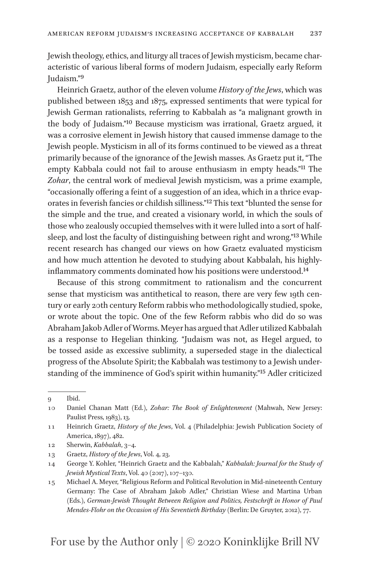Jewish theology, ethics, and liturgy all traces of Jewish mysticism, became characteristic of various liberal forms of modern Judaism, especially early Reform Judaism."9

Heinrich Graetz, author of the eleven volume *History of the Jews*, which was published between 1853 and 1875, expressed sentiments that were typical for Jewish German rationalists, referring to Kabbalah as "a malignant growth in the body of Judaism."10 Because mysticism was irrational, Graetz argued, it was a corrosive element in Jewish history that caused immense damage to the Jewish people. Mysticism in all of its forms continued to be viewed as a threat primarily because of the ignorance of the Jewish masses. As Graetz put it, "The empty Kabbala could not fail to arouse enthusiasm in empty heads."11 The *Zohar*, the central work of medieval Jewish mysticism, was a prime example, "occasionally offering a feint of a suggestion of an idea, which in a thrice evaporates in feverish fancies or childish silliness."12 This text "blunted the sense for the simple and the true, and created a visionary world, in which the souls of those who zealously occupied themselves with it were lulled into a sort of halfsleep, and lost the faculty of distinguishing between right and wrong."13 While recent research has changed our views on how Graetz evaluated mysticism and how much attention he devoted to studying about Kabbalah, his highlyinflammatory comments dominated how his positions were understood.14

Because of this strong commitment to rationalism and the concurrent sense that mysticism was antithetical to reason, there are very few 19th century or early 20th century Reform rabbis who methodologically studied, spoke, or wrote about the topic. One of the few Reform rabbis who did do so was Abraham Jakob Adler of Worms. Meyer has argued that Adler utilized Kabbalah as a response to Hegelian thinking. "Judaism was not, as Hegel argued, to be tossed aside as excessive sublimity, a superseded stage in the dialectical progress of the Absolute Spirit; the Kabbalah was testimony to a Jewish understanding of the imminence of God's spirit within humanity."15 Adler criticized

<sup>9</sup> Ibid.

<sup>10</sup> Daniel Chanan Matt (Ed.), *Zohar: The Book of Enlightenment* (Mahwah, New Jersey: Paulist Press, 1983), 13.

<sup>11</sup> Heinrich Graetz, *History of the Jews*, Vol. 4 (Philadelphia: Jewish Publication Society of America, 1897), 482.

<sup>12</sup> Sherwin, *Kabbalah*, 3–4.

<sup>13</sup> Graetz, *History of the Jews*, Vol. 4, 23.

<sup>14</sup> George Y. Kohler, "Heinrich Graetz and the Kabbalah," *Kabbalah: Journal for the Study of Jewish Mystical Texts*, Vol. 40 (2017), 107–130.

<sup>15</sup> Michael A. Meyer, "Religious Reform and Political Revolution in Mid-nineteenth Century Germany: The Case of Abraham Jakob Adler," Christian Wiese and Martina Urban (Eds.), *German-Jewish Thought Between Religion and Politics, Festschrift in Honor of Paul Mendes-Flohr on the Occasion of His Seventieth Birthday* (Berlin: De Gruyter, 2012), 77.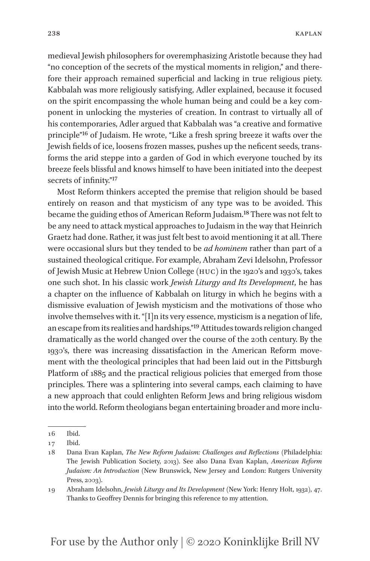238 KAPLAN

medieval Jewish philosophers for overemphasizing Aristotle because they had "no conception of the secrets of the mystical moments in religion," and therefore their approach remained superficial and lacking in true religious piety. Kabbalah was more religiously satisfying, Adler explained, because it focused on the spirit encompassing the whole human being and could be a key component in unlocking the mysteries of creation. In contrast to virtually all of his contemporaries, Adler argued that Kabbalah was "a creative and formative principle"16 of Judaism. He wrote, "Like a fresh spring breeze it wafts over the Jewish fields of ice, loosens frozen masses, pushes up the neficent seeds, transforms the arid steppe into a garden of God in which everyone touched by its breeze feels blissful and knows himself to have been initiated into the deepest secrets of infinity."17

Most Reform thinkers accepted the premise that religion should be based entirely on reason and that mysticism of any type was to be avoided. This became the guiding ethos of American Reform Judaism.18 There was not felt to be any need to attack mystical approaches to Judaism in the way that Heinrich Graetz had done. Rather, it was just felt best to avoid mentioning it at all. There were occasional slurs but they tended to be *ad hominem* rather than part of a sustained theological critique. For example, Abraham Zevi Idelsohn, Professor of Jewish Music at Hebrew Union College (HUC) in the 1920's and 1930's, takes one such shot. In his classic work *Jewish Liturgy and Its Development*, he has a chapter on the influence of Kabbalah on liturgy in which he begins with a dismissive evaluation of Jewish mysticism and the motivations of those who involve themselves with it. "[I]n its very essence, mysticism is a negation of life, an escape from its realities and hardships."19 Attitudes towards religion changed dramatically as the world changed over the course of the 20th century. By the 1930's, there was increasing dissatisfaction in the American Reform movement with the theological principles that had been laid out in the Pittsburgh Platform of 1885 and the practical religious policies that emerged from those principles. There was a splintering into several camps, each claiming to have a new approach that could enlighten Reform Jews and bring religious wisdom into the world. Reform theologians began entertaining broader and more inclu-

<sup>16</sup> Ibid.

<sup>17</sup> Ibid.

<sup>18</sup> Dana Evan Kaplan, *The New Reform Judaism: Challenges and Reflections* (Philadelphia: The Jewish Publication Society, 2013). See also Dana Evan Kaplan, *American Reform Judaism: An Introduction* (New Brunswick, New Jersey and London: Rutgers University Press, 2003).

<sup>19</sup> Abraham Idelsohn, *Jewish Liturgy and Its Development* (New York: Henry Holt, 1932), 47. Thanks to Geoffrey Dennis for bringing this reference to my attention.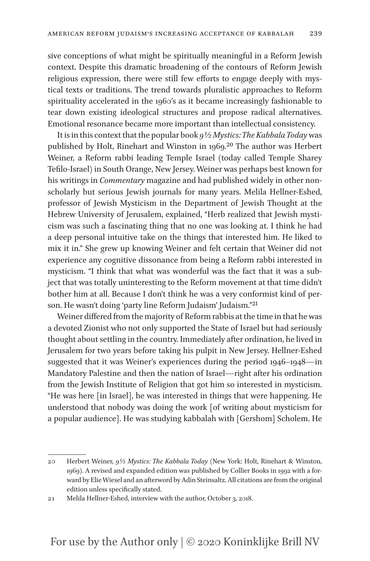sive conceptions of what might be spiritually meaningful in a Reform Jewish context. Despite this dramatic broadening of the contours of Reform Jewish religious expression, there were still few efforts to engage deeply with mystical texts or traditions. The trend towards pluralistic approaches to Reform spirituality accelerated in the 1960's as it became increasingly fashionable to tear down existing ideological structures and propose radical alternatives. Emotional resonance became more important than intellectual consistency.

It is in this context that the popular book *9½ Mystics: The Kabbala Today* was published by Holt, Rinehart and Winston in 1969.<sup>20</sup> The author was Herbert Weiner, a Reform rabbi leading Temple Israel (today called Temple Sharey Tefilo-Israel) in South Orange, New Jersey. Weiner was perhaps best known for his writings in *Commentary* magazine and had published widely in other nonscholarly but serious Jewish journals for many years. Melila Hellner-Eshed, professor of Jewish Mysticism in the Department of Jewish Thought at the Hebrew University of Jerusalem, explained, "Herb realized that Jewish mysticism was such a fascinating thing that no one was looking at. I think he had a deep personal intuitive take on the things that interested him. He liked to mix it in." She grew up knowing Weiner and felt certain that Weiner did not experience any cognitive dissonance from being a Reform rabbi interested in mysticism. "I think that what was wonderful was the fact that it was a subject that was totally uninteresting to the Reform movement at that time didn't bother him at all. Because I don't think he was a very conformist kind of person. He wasn't doing 'party line Reform Judaism' Judaism."21

Weiner differed from the majority of Reform rabbis at the time in that he was a devoted Zionist who not only supported the State of Israel but had seriously thought about settling in the country. Immediately after ordination, he lived in Jerusalem for two years before taking his pulpit in New Jersey. Hellner-Eshed suggested that it was Weiner's experiences during the period 1946–1948—in Mandatory Palestine and then the nation of Israel—right after his ordination from the Jewish Institute of Religion that got him so interested in mysticism. "He was here [in Israel], he was interested in things that were happening. He understood that nobody was doing the work [of writing about mysticism for a popular audience]. He was studying kabbalah with [Gershom] Scholem. He

<sup>20</sup> Herbert Weiner, *9½ Mystics: The Kabbala Today* (New York: Holt, Rinehart & Winston, 1969). A revised and expanded edition was published by Collier Books in 1992 with a forward by Elie Wiesel and an afterword by Adin Steinsaltz. All citations are from the original edition unless specifically stated.

<sup>21</sup> Melila Hellner-Eshed, interview with the author, October 3, 2018.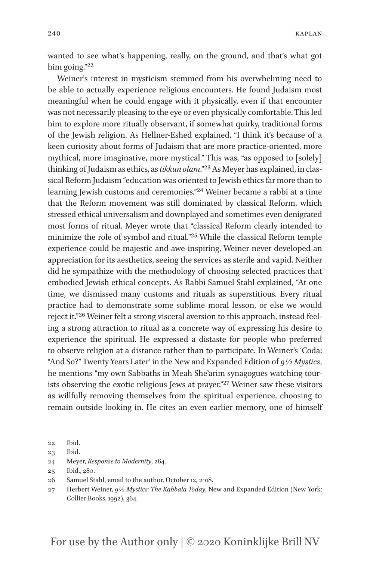wanted to see what's happening, really, on the ground, and that's what got him going."22

Weiner's interest in mysticism stemmed from his overwhelming need to be able to actually experience religious encounters. He found Judaism most meaningful when he could engage with it physically, even if that encounter was not necessarily pleasing to the eye or even physically comfortable. This led him to explore more ritually observant, if somewhat quirky, traditional forms of the Jewish religion. As Hellner-Eshed explained, "I think it's because of a keen curiosity about forms of Judaism that are more practice-oriented, more mythical, more imaginative, more mystical." This was, "as opposed to [solely] thinking of Judaism as ethics, as *tikkun olam*."23 As Meyer has explained, in classical Reform Judaism "education was oriented to Jewish ethics far more than to learning Jewish customs and ceremonies."24 Weiner became a rabbi at a time that the Reform movement was still dominated by classical Reform, which stressed ethical universalism and downplayed and sometimes even denigrated most forms of ritual. Meyer wrote that "classical Reform clearly intended to minimize the role of symbol and ritual."25 While the classical Reform temple experience could be majestic and awe-inspiring, Weiner never developed an appreciation for its aesthetics, seeing the services as sterile and vapid. Neither did he sympathize with the methodology of choosing selected practices that embodied Jewish ethical concepts. As Rabbi Samuel Stahl explained, "At one time, we dismissed many customs and rituals as superstitious. Every ritual practice had to demonstrate some sublime moral lesson, or else we would reject it."26 Weiner felt a strong visceral aversion to this approach, instead feeling a strong attraction to ritual as a concrete way of expressing his desire to experience the spiritual. He expressed a distaste for people who preferred to observe religion at a distance rather than to participate. In Weiner's 'Coda: "And So?" Twenty Years Later' in the New and Expanded Edition of *9½ Mystics*, he mentions "my own Sabbaths in Meah Sheʾarim synagogues watching tourists observing the exotic religious Jews at prayer."27 Weiner saw these visitors as willfully removing themselves from the spiritual experience, choosing to remain outside looking in. He cites an even earlier memory, one of himself

<sup>22</sup> Ibid.

<sup>23</sup> Ibid.

<sup>24</sup> Meyer, *Response to Modernity*, 264.

<sup>25</sup> Ibid., 280.

<sup>26</sup> Samuel Stahl, email to the author, October 12, 2018.

<sup>27</sup> Herbert Weiner, *9½ Mystics: The Kabbala Today*, New and Expanded Edition (New York: Collier Books, 1992), 364.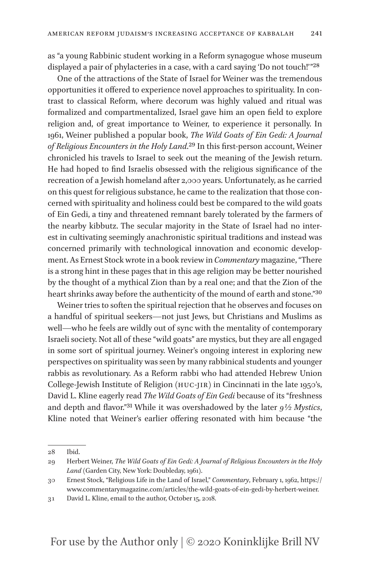as "a young Rabbinic student working in a Reform synagogue whose museum displayed a pair of phylacteries in a case, with a card saying 'Do not touch!"<sup>28</sup>

One of the attractions of the State of Israel for Weiner was the tremendous opportunities it offered to experience novel approaches to spirituality. In contrast to classical Reform, where decorum was highly valued and ritual was formalized and compartmentalized, Israel gave him an open field to explore religion and, of great importance to Weiner, to experience it personally. In 1961, Weiner published a popular book, *The Wild Goats of Ein Gedi: A Journal of Religious Encounters in the Holy Land*.29 In this first-person account, Weiner chronicled his travels to Israel to seek out the meaning of the Jewish return. He had hoped to find Israelis obsessed with the religious significance of the recreation of a Jewish homeland after 2,000 years. Unfortunately, as he carried on this quest for religious substance, he came to the realization that those concerned with spirituality and holiness could best be compared to the wild goats of Ein Gedi, a tiny and threatened remnant barely tolerated by the farmers of the nearby kibbutz. The secular majority in the State of Israel had no interest in cultivating seemingly anachronistic spiritual traditions and instead was concerned primarily with technological innovation and economic development. As Ernest Stock wrote in a book review in *Commentary* magazine, "There is a strong hint in these pages that in this age religion may be better nourished by the thought of a mythical Zion than by a real one; and that the Zion of the heart shrinks away before the authenticity of the mound of earth and stone."30

Weiner tries to soften the spiritual rejection that he observes and focuses on a handful of spiritual seekers—not just Jews, but Christians and Muslims as well—who he feels are wildly out of sync with the mentality of contemporary Israeli society. Not all of these "wild goats" are mystics, but they are all engaged in some sort of spiritual journey. Weiner's ongoing interest in exploring new perspectives on spirituality was seen by many rabbinical students and younger rabbis as revolutionary. As a Reform rabbi who had attended Hebrew Union College-Jewish Institute of Religion (HUC-JIR) in Cincinnati in the late 1950's, David L. Kline eagerly read *The Wild Goats of Ein Gedi* because of its "freshness and depth and flavor."31 While it was overshadowed by the later *9½ Mystics*, Kline noted that Weiner's earlier offering resonated with him because "the

<sup>28</sup> Ibid.

<sup>29</sup> Herbert Weiner, *The Wild Goats of Ein Gedi: A Journal of Religious Encounters in the Holy Land* (Garden City, New York: Doubleday, 1961).

<sup>30</sup> Ernest Stock, "Religious Life in the Land of Israel," *Commentary*, February 1, 1962, https:// www.commentarymagazine.com/articles/the-wild-goats-of-ein-gedi-by-herbert-weiner.

<sup>31</sup> David L. Kline, email to the author, October 15, 2018.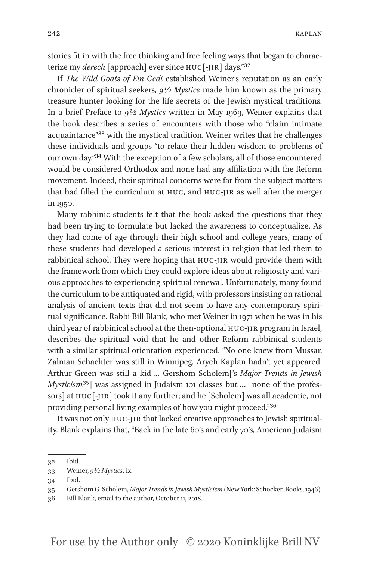stories fit in with the free thinking and free feeling ways that began to characterize my *derech* [approach] ever since HUC[-JIR] days."32

If *The Wild Goats of Ein Gedi* established Weiner's reputation as an early chronicler of spiritual seekers, *9½ Mystics* made him known as the primary treasure hunter looking for the life secrets of the Jewish mystical traditions. In a brief Preface to *9½ Mystics* written in May 1969, Weiner explains that the book describes a series of encounters with those who "claim intimate acquaintance"33 with the mystical tradition. Weiner writes that he challenges these individuals and groups "to relate their hidden wisdom to problems of our own day."34 With the exception of a few scholars, all of those encountered would be considered Orthodox and none had any affiliation with the Reform movement. Indeed, their spiritual concerns were far from the subject matters that had filled the curriculum at HUC, and HUC-JIR as well after the merger in 1950.

Many rabbinic students felt that the book asked the questions that they had been trying to formulate but lacked the awareness to conceptualize. As they had come of age through their high school and college years, many of these students had developed a serious interest in religion that led them to rabbinical school. They were hoping that HUC-JIR would provide them with the framework from which they could explore ideas about religiosity and various approaches to experiencing spiritual renewal. Unfortunately, many found the curriculum to be antiquated and rigid, with professors insisting on rational analysis of ancient texts that did not seem to have any contemporary spiritual significance. Rabbi Bill Blank, who met Weiner in 1971 when he was in his third year of rabbinical school at the then-optional HUC-JIR program in Israel, describes the spiritual void that he and other Reform rabbinical students with a similar spiritual orientation experienced. "No one knew from Mussar. Zalman Schachter was still in Winnipeg. Aryeh Kaplan hadn't yet appeared. Arthur Green was still a kid … Gershom Scholem['s *Major Trends in Jewish Mysticism*<sup>35</sup>] was assigned in Judaism 101 classes but ... [none of the professors] at HUC[-JIR] took it any further; and he [Scholem] was all academic, not providing personal living examples of how you might proceed."36

It was not only HUC-JIR that lacked creative approaches to Jewish spirituality. Blank explains that, "Back in the late 60's and early 70's, American Judaism

<sup>32</sup> Ibid.

<sup>33</sup> Weiner, *9½ Mystics*, ix.

<sup>34</sup> Ibid.

<sup>35</sup> Gershom G. Scholem, *Major Trends in Jewish Mysticism* (New York: Schocken Books, 1946).

<sup>36</sup> Bill Blank, email to the author, October 11, 2018.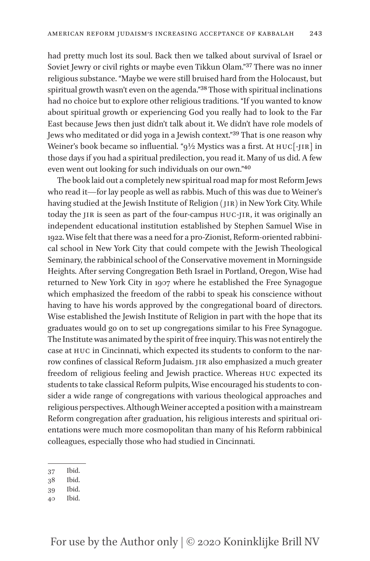had pretty much lost its soul. Back then we talked about survival of Israel or Soviet Jewry or civil rights or maybe even Tikkun Olam."37 There was no inner religious substance. "Maybe we were still bruised hard from the Holocaust, but spiritual growth wasn't even on the agenda."<sup>38</sup> Those with spiritual inclinations had no choice but to explore other religious traditions. "If you wanted to know about spiritual growth or experiencing God you really had to look to the Far East because Jews then just didn't talk about it. We didn't have role models of Jews who meditated or did yoga in a Jewish context."39 That is one reason why Weiner's book became so influential. "9<sup>1</sup>/<sub>2</sub> Mystics was a first. At HUC<sup>[-</sup>JIR] in those days if you had a spiritual predilection, you read it. Many of us did. A few even went out looking for such individuals on our own."40

The book laid out a completely new spiritual road map for most Reform Jews who read it—for lay people as well as rabbis. Much of this was due to Weiner's having studied at the Jewish Institute of Religion (JIR) in New York City. While today the JIR is seen as part of the four-campus HUC-JIR, it was originally an independent educational institution established by Stephen Samuel Wise in 1922. Wise felt that there was a need for a pro-Zionist, Reform-oriented rabbinical school in New York City that could compete with the Jewish Theological Seminary, the rabbinical school of the Conservative movement in Morningside Heights. After serving Congregation Beth Israel in Portland, Oregon, Wise had returned to New York City in 1907 where he established the Free Synagogue which emphasized the freedom of the rabbi to speak his conscience without having to have his words approved by the congregational board of directors. Wise established the Jewish Institute of Religion in part with the hope that its graduates would go on to set up congregations similar to his Free Synagogue. The Institute was animated by the spirit of free inquiry. This was not entirely the case at HUC in Cincinnati, which expected its students to conform to the narrow confines of classical Reform Judaism. JIR also emphasized a much greater freedom of religious feeling and Jewish practice. Whereas HUC expected its students to take classical Reform pulpits, Wise encouraged his students to consider a wide range of congregations with various theological approaches and religious perspectives. Although Weiner accepted a position with a mainstream Reform congregation after graduation, his religious interests and spiritual orientations were much more cosmopolitan than many of his Reform rabbinical colleagues, especially those who had studied in Cincinnati.

40 Ibid.

<sup>37</sup> Ibid.

<sup>38</sup> Ibid.

<sup>39</sup> Ibid.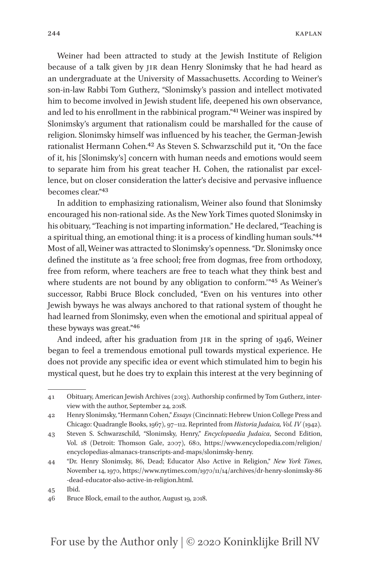Weiner had been attracted to study at the Jewish Institute of Religion because of a talk given by JIR dean Henry Slonimsky that he had heard as an undergraduate at the University of Massachusetts. According to Weiner's son-in-law Rabbi Tom Gutherz, "Slonimsky's passion and intellect motivated him to become involved in Jewish student life, deepened his own observance, and led to his enrollment in the rabbinical program."41 Weiner was inspired by Slonimsky's argument that rationalism could be marshalled for the cause of religion. Slonimsky himself was influenced by his teacher, the German-Jewish rationalist Hermann Cohen.42 As Steven S. Schwarzschild put it, "On the face of it, his [Slonimsky's] concern with human needs and emotions would seem to separate him from his great teacher H. Cohen, the rationalist par excellence, but on closer consideration the latter's decisive and pervasive influence becomes clear."43

In addition to emphasizing rationalism, Weiner also found that Slonimsky encouraged his non-rational side. As the New York Times quoted Slonimsky in his obituary, "Teaching is not imparting information." He declared, "Teaching is a spiritual thing, an emotional thing: it is a process of kindling human souls."44 Most of all, Weiner was attracted to Slonimsky's openness. "Dr. Slonimsky once defined the institute as 'a free school; free from dogmas, free from orthodoxy, free from reform, where teachers are free to teach what they think best and where students are not bound by any obligation to conform.<sup>745</sup> As Weiner's successor, Rabbi Bruce Block concluded, "Even on his ventures into other Jewish byways he was always anchored to that rational system of thought he had learned from Slonimsky, even when the emotional and spiritual appeal of these byways was great."46

And indeed, after his graduation from JIR in the spring of 1946, Weiner began to feel a tremendous emotional pull towards mystical experience. He does not provide any specific idea or event which stimulated him to begin his mystical quest, but he does try to explain this interest at the very beginning of

<sup>41</sup> Obituary, American Jewish Archives (2013). Authorship confirmed by Tom Gutherz, interview with the author, September 24, 2018.

<sup>42</sup> Henry Slonimsky, "Hermann Cohen," *Essays* (Cincinnati: Hebrew Union College Press and Chicago: Quadrangle Books, 1967), 97–112. Reprinted from *Historia Judaica, Vol. IV* (1942).

<sup>43</sup> Steven S. Schwarzschild, "Slonimsky, Henry," *Encyclopaedia Judaica*, Second Edition, Vol. 18 (Detroit: Thomson Gale, 2007), 680, https://www.encyclopedia.com/religion/ encyclopedias-almanacs-transcripts-and-maps/slonimsky-henry.

<sup>44 &</sup>quot;Dr. Henry Slonimsky, 86, Dead; Educator Also Active in Religion," *New York Times*, November 14, 1970, https://www.nytimes.com/1970/11/14/archives/dr-henry-slonimsky-86 -dead-educator-also-active-in-religion.html.

<sup>45</sup> Ibid.

<sup>46</sup> Bruce Block, email to the author, August 19, 2018.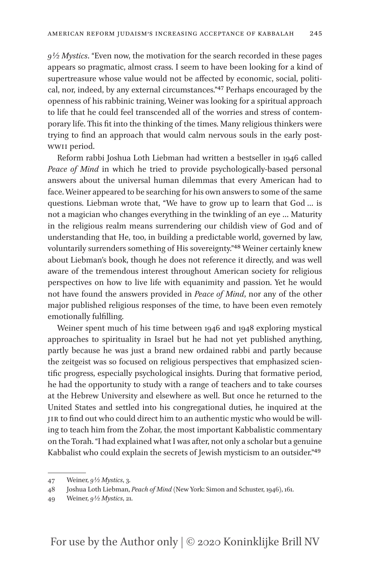*9½ Mystics*. "Even now, the motivation for the search recorded in these pages appears so pragmatic, almost crass. I seem to have been looking for a kind of supertreasure whose value would not be affected by economic, social, political, nor, indeed, by any external circumstances."47 Perhaps encouraged by the openness of his rabbinic training, Weiner was looking for a spiritual approach to life that he could feel transcended all of the worries and stress of contemporary life. This fit into the thinking of the times. Many religious thinkers were trying to find an approach that would calm nervous souls in the early post-WWII period.

Reform rabbi Joshua Loth Liebman had written a bestseller in 1946 called *Peace of Mind* in which he tried to provide psychologically-based personal answers about the universal human dilemmas that every American had to face. Weiner appeared to be searching for his own answers to some of the same questions. Liebman wrote that, "We have to grow up to learn that God … is not a magician who changes everything in the twinkling of an eye … Maturity in the religious realm means surrendering our childish view of God and of understanding that He, too, in building a predictable world, governed by law, voluntarily surrenders something of His sovereignty."48 Weiner certainly knew about Liebman's book, though he does not reference it directly, and was well aware of the tremendous interest throughout American society for religious perspectives on how to live life with equanimity and passion. Yet he would not have found the answers provided in *Peace of Mind*, nor any of the other major published religious responses of the time, to have been even remotely emotionally fulfilling.

Weiner spent much of his time between 1946 and 1948 exploring mystical approaches to spirituality in Israel but he had not yet published anything, partly because he was just a brand new ordained rabbi and partly because the zeitgeist was so focused on religious perspectives that emphasized scientific progress, especially psychological insights. During that formative period, he had the opportunity to study with a range of teachers and to take courses at the Hebrew University and elsewhere as well. But once he returned to the United States and settled into his congregational duties, he inquired at the JIR to find out who could direct him to an authentic mystic who would be willing to teach him from the Zohar, the most important Kabbalistic commentary on the Torah. "I had explained what I was after, not only a scholar but a genuine Kabbalist who could explain the secrets of Jewish mysticism to an outsider."49

<sup>47</sup> Weiner, *9½ Mystics*, 3.

<sup>48</sup> Joshua Loth Liebman, *Peach of Mind* (New York: Simon and Schuster, 1946), 161.

<sup>49</sup> Weiner, *9½ Mystics*, 21.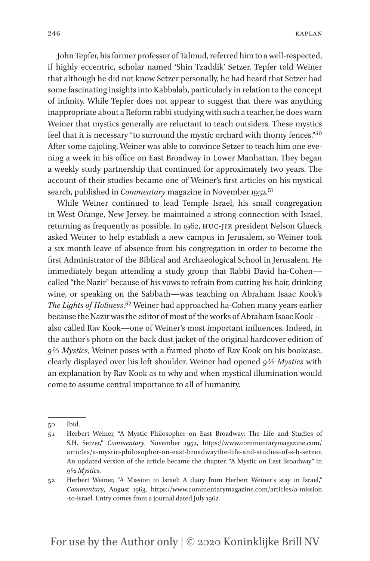John Tepfer, his former professor of Talmud, referred him to a well-respected, if highly eccentric, scholar named 'Shin Tzaddik' Setzer. Tepfer told Weiner that although he did not know Setzer personally, he had heard that Setzer had some fascinating insights into Kabbalah, particularly in relation to the concept of infinity. While Tepfer does not appear to suggest that there was anything inappropriate about a Reform rabbi studying with such a teacher, he does warn Weiner that mystics generally are reluctant to teach outsiders. These mystics feel that it is necessary "to surround the mystic orchard with thorny fences."50 After some cajoling, Weiner was able to convince Setzer to teach him one evening a week in his office on East Broadway in Lower Manhattan. They began a weekly study partnership that continued for approximately two years. The account of their studies became one of Weiner's first articles on his mystical search, published in *Commentary* magazine in November 1952.<sup>51</sup>

While Weiner continued to lead Temple Israel, his small congregation in West Orange, New Jersey, he maintained a strong connection with Israel, returning as frequently as possible. In 1962, HUC-JIR president Nelson Glueck asked Weiner to help establish a new campus in Jerusalem, so Weiner took a six month leave of absence from his congregation in order to become the first Administrator of the Biblical and Archaeological School in Jerusalem. He immediately began attending a study group that Rabbi David ha-Cohen called "the Nazir" because of his vows to refrain from cutting his hair, drinking wine, or speaking on the Sabbath—was teaching on Abraham Isaac Kook's *The Lights of Holiness*.52 Weiner had approached ha-Cohen many years earlier because the Nazir was the editor of most of the works of Abraham Isaac Kook also called Rav Kook—one of Weiner's most important influences. Indeed, in the author's photo on the back dust jacket of the original hardcover edition of *9½ Mystics*, Weiner poses with a framed photo of Rav Kook on his bookcase, clearly displayed over his left shoulder. Weiner had opened *9½ Mystics* with an explanation by Rav Kook as to why and when mystical illumination would come to assume central importance to all of humanity.

<sup>50</sup> Ibid.

<sup>51</sup> Herbert Weiner, "A Mystic Philosopher on East Broadway: The Life and Studies of S.H. Setzer," *Commentary*, November 1952, https://www.commentarymagazine.com/ articles/a-mystic-philosopher-on-east-broadwaythe-life-and-studies-of-s-h-setzer. An updated version of the article became the chapter, "A Mystic on East Broadway" in *9½ Mystics*.

<sup>52</sup> Herbert Weiner, "A Mission to Israel: A diary from Herbert Weiner's stay in Israel," *Commentary*, August 1963, https://www.commentarymagazine.com/articles/a-mission -to-israel. Entry comes from a journal dated July 1962.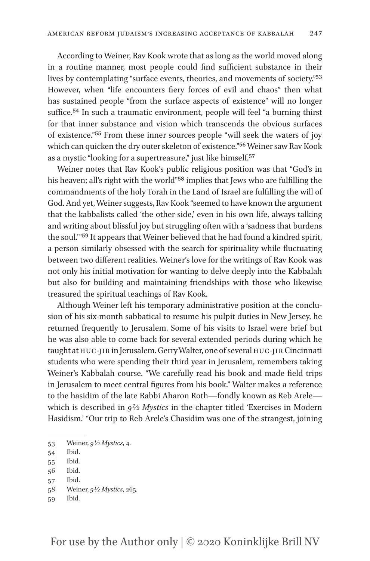According to Weiner, Rav Kook wrote that as long as the world moved along in a routine manner, most people could find sufficient substance in their lives by contemplating "surface events, theories, and movements of society."53 However, when "life encounters fiery forces of evil and chaos" then what has sustained people "from the surface aspects of existence" will no longer suffice.54 In such a traumatic environment, people will feel "a burning thirst for that inner substance and vision which transcends the obvious surfaces of existence."55 From these inner sources people "will seek the waters of joy which can quicken the dry outer skeleton of existence."56 Weiner saw Rav Kook as a mystic "looking for a supertreasure," just like himself.<sup>57</sup>

Weiner notes that Rav Kook's public religious position was that "God's in his heaven; all's right with the world"<sup>58</sup> implies that Jews who are fulfilling the commandments of the holy Torah in the Land of Israel are fulfilling the will of God. And yet, Weiner suggests, Rav Kook "seemed to have known the argument that the kabbalists called 'the other side,' even in his own life, always talking and writing about blissful joy but struggling often with a 'sadness that burdens the soul."<sup>59</sup> It appears that Weiner believed that he had found a kindred spirit, a person similarly obsessed with the search for spirituality while fluctuating between two different realities. Weiner's love for the writings of Rav Kook was not only his initial motivation for wanting to delve deeply into the Kabbalah but also for building and maintaining friendships with those who likewise treasured the spiritual teachings of Rav Kook.

Although Weiner left his temporary administrative position at the conclusion of his six-month sabbatical to resume his pulpit duties in New Jersey, he returned frequently to Jerusalem. Some of his visits to Israel were brief but he was also able to come back for several extended periods during which he taught at HUC-JIR in Jerusalem. Gerry Walter, one of several HUC-JIR Cincinnati students who were spending their third year in Jerusalem, remembers taking Weiner's Kabbalah course. "We carefully read his book and made field trips in Jerusalem to meet central figures from his book." Walter makes a reference to the hasidim of the late Rabbi Aharon Roth—fondly known as Reb Arele which is described in *9½ Mystics* in the chapter titled 'Exercises in Modern Hasidism.' "Our trip to Reb Arele's Chasidim was one of the strangest, joining

59 Ibid.

<sup>53</sup> Weiner, *9½ Mystics*, 4.

<sup>54</sup> Ibid.

<sup>55</sup> Ibid.

<sup>56</sup> Ibid.

<sup>57</sup> Ibid.

<sup>58</sup> Weiner, *9½ Mystics*, 265.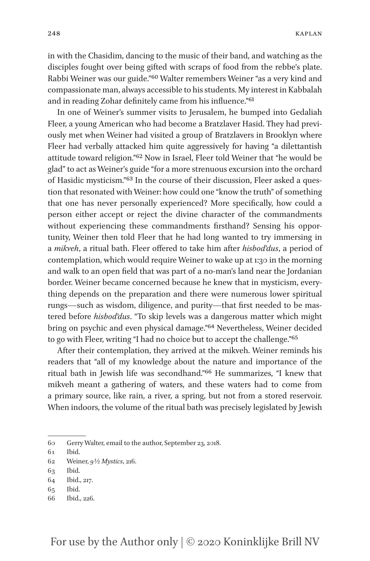in with the Chasidim, dancing to the music of their band, and watching as the disciples fought over being gifted with scraps of food from the rebbe's plate. Rabbi Weiner was our guide."60 Walter remembers Weiner "as a very kind and compassionate man, always accessible to his students. My interest in Kabbalah and in reading Zohar definitely came from his influence."61

In one of Weiner's summer visits to Jerusalem, he bumped into Gedaliah Fleer, a young American who had become a Bratzlaver Hasid. They had previously met when Weiner had visited a group of Bratzlavers in Brooklyn where Fleer had verbally attacked him quite aggressively for having "a dilettantish attitude toward religion."62 Now in Israel, Fleer told Weiner that "he would be glad" to act as Weiner's guide "for a more strenuous excursion into the orchard of Hasidic mysticism."63 In the course of their discussion, Fleer asked a question that resonated with Weiner: how could one "know the truth" of something that one has never personally experienced? More specifically, how could a person either accept or reject the divine character of the commandments without experiencing these commandments firsthand? Sensing his opportunity, Weiner then told Fleer that he had long wanted to try immersing in a *mikveh*, a ritual bath. Fleer offered to take him after *hisbodʾdus*, a period of contemplation, which would require Weiner to wake up at 1:30 in the morning and walk to an open field that was part of a no-man's land near the Jordanian border. Weiner became concerned because he knew that in mysticism, everything depends on the preparation and there were numerous lower spiritual rungs—such as wisdom, diligence, and purity—that first needed to be mastered before *hisbodʾdus*. "To skip levels was a dangerous matter which might bring on psychic and even physical damage."64 Nevertheless, Weiner decided to go with Fleer, writing "I had no choice but to accept the challenge."65

After their contemplation, they arrived at the mikveh. Weiner reminds his readers that "all of my knowledge about the nature and importance of the ritual bath in Jewish life was secondhand."66 He summarizes, "I knew that mikveh meant a gathering of waters, and these waters had to come from a primary source, like rain, a river, a spring, but not from a stored reservoir. When indoors, the volume of the ritual bath was precisely legislated by Jewish

<sup>60</sup> Gerry Walter, email to the author, September 23, 2018.

<sup>61</sup> Ibid.

<sup>62</sup> Weiner, *9½ Mystics*, 216.

<sup>63</sup> Ibid.

<sup>64</sup> Ibid., 217.

<sup>65</sup> Ibid.

<sup>66</sup> Ibid., 226.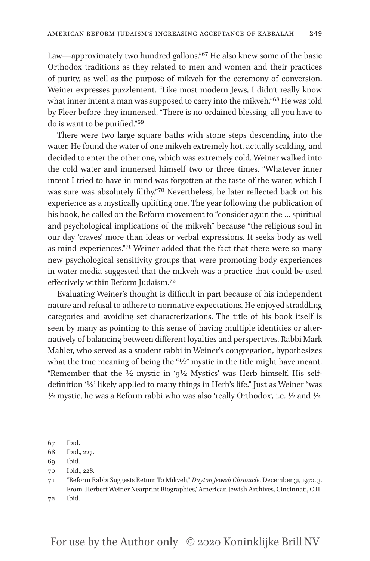Law—approximately two hundred gallons."67 He also knew some of the basic Orthodox traditions as they related to men and women and their practices of purity, as well as the purpose of mikveh for the ceremony of conversion. Weiner expresses puzzlement. "Like most modern Jews, I didn't really know what inner intent a man was supposed to carry into the mikveh."<sup>68</sup> He was told by Fleer before they immersed, "There is no ordained blessing, all you have to do is want to be purified."69

There were two large square baths with stone steps descending into the water. He found the water of one mikveh extremely hot, actually scalding, and decided to enter the other one, which was extremely cold. Weiner walked into the cold water and immersed himself two or three times. "Whatever inner intent I tried to have in mind was forgotten at the taste of the water, which I was sure was absolutely filthy."70 Nevertheless, he later reflected back on his experience as a mystically uplifting one. The year following the publication of his book, he called on the Reform movement to "consider again the … spiritual and psychological implications of the mikveh" because "the religious soul in our day 'craves' more than ideas or verbal expressions. It seeks body as well as mind experiences."71 Weiner added that the fact that there were so many new psychological sensitivity groups that were promoting body experiences in water media suggested that the mikveh was a practice that could be used effectively within Reform Judaism.72

Evaluating Weiner's thought is difficult in part because of his independent nature and refusal to adhere to normative expectations. He enjoyed straddling categories and avoiding set characterizations. The title of his book itself is seen by many as pointing to this sense of having multiple identities or alternatively of balancing between different loyalties and perspectives. Rabbi Mark Mahler, who served as a student rabbi in Weiner's congregation, hypothesizes what the true meaning of being the "1/2" mystic in the title might have meant. "Remember that the  $\frac{1}{2}$  mystic in '9<sup>1</sup>/<sub>2</sub> Mystics' was Herb himself. His selfdefinition '½' likely applied to many things in Herb's life." Just as Weiner "was  $\frac{1}{2}$  mystic, he was a Reform rabbi who was also 'really Orthodox', i.e.  $\frac{1}{2}$  and  $\frac{1}{2}$ .

<sup>67</sup> Ibid.

<sup>68</sup> Ibid., 227.

<sup>69</sup> Ibid.

<sup>70</sup> Ibid., 228.

<sup>71 &</sup>quot;Reform Rabbi Suggests Return To Mikveh," *Dayton Jewish Chronicle*, December 31, 1970, 3. From 'Herbert Weiner Nearprint Biographies,' American Jewish Archives, Cincinnati, OH. 72 Ibid.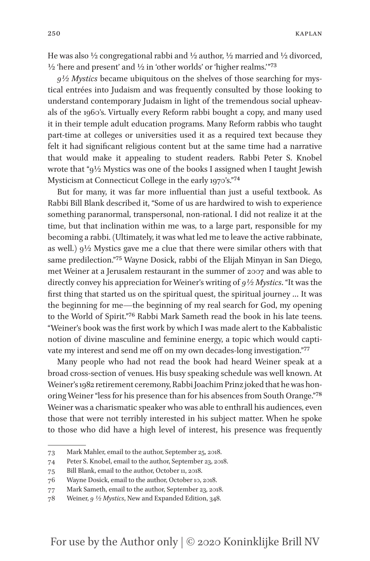He was also  $\frac{1}{2}$  congregational rabbi and  $\frac{1}{2}$  author,  $\frac{1}{2}$  married and  $\frac{1}{2}$  divorced,  $\frac{1}{2}$  'here and present' and  $\frac{1}{2}$  in 'other worlds' or 'higher realms.'"73

*9½ Mystics* became ubiquitous on the shelves of those searching for mystical entrées into Judaism and was frequently consulted by those looking to understand contemporary Judaism in light of the tremendous social upheavals of the 1960's. Virtually every Reform rabbi bought a copy, and many used it in their temple adult education programs. Many Reform rabbis who taught part-time at colleges or universities used it as a required text because they felt it had significant religious content but at the same time had a narrative that would make it appealing to student readers. Rabbi Peter S. Knobel wrote that "9½ Mystics was one of the books I assigned when I taught Jewish Mysticism at Connecticut College in the early 1970's."74

But for many, it was far more influential than just a useful textbook. As Rabbi Bill Blank described it, "Some of us are hardwired to wish to experience something paranormal, transpersonal, non-rational. I did not realize it at the time, but that inclination within me was, to a large part, responsible for my becoming a rabbi. (Ultimately, it was what led me to leave the active rabbinate, as well.)  $9\frac{1}{2}$  Mystics gave me a clue that there were similar others with that same predilection."75 Wayne Dosick, rabbi of the Elijah Minyan in San Diego, met Weiner at a Jerusalem restaurant in the summer of 2007 and was able to directly convey his appreciation for Weiner's writing of *9½ Mystics*. "It was the first thing that started us on the spiritual quest, the spiritual journey … It was the beginning for me—the beginning of my real search for God, my opening to the World of Spirit."76 Rabbi Mark Sameth read the book in his late teens. "Weiner's book was the first work by which I was made alert to the Kabbalistic notion of divine masculine and feminine energy, a topic which would captivate my interest and send me off on my own decades-long investigation."77

Many people who had not read the book had heard Weiner speak at a broad cross-section of venues. His busy speaking schedule was well known. At Weiner's 1982 retirement ceremony, Rabbi Joachim Prinz joked that he was honoring Weiner "less for his presence than for his absences from South Orange."78 Weiner was a charismatic speaker who was able to enthrall his audiences, even those that were not terribly interested in his subject matter. When he spoke to those who did have a high level of interest, his presence was frequently

<sup>73</sup> Mark Mahler, email to the author, September 25, 2018.

<sup>74</sup> Peter S. Knobel, email to the author, September 23, 2018.

<sup>75</sup> Bill Blank, email to the author, October 11, 2018.

<sup>76</sup> Wayne Dosick, email to the author, October 10, 2018.

<sup>77</sup> Mark Sameth, email to the author, September 23, 2018.

<sup>78</sup> Weiner, *9 ½ Mystics*, New and Expanded Edition, 348.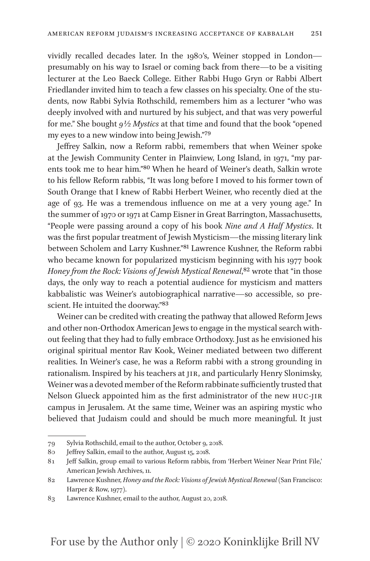vividly recalled decades later. In the 1980's, Weiner stopped in London presumably on his way to Israel or coming back from there—to be a visiting lecturer at the Leo Baeck College. Either Rabbi Hugo Gryn or Rabbi Albert Friedlander invited him to teach a few classes on his specialty. One of the students, now Rabbi Sylvia Rothschild, remembers him as a lecturer "who was deeply involved with and nurtured by his subject, and that was very powerful for me." She bought *9½ Mystics* at that time and found that the book "opened my eyes to a new window into being Jewish."79

Jeffrey Salkin, now a Reform rabbi, remembers that when Weiner spoke at the Jewish Community Center in Plainview, Long Island, in 1971, "my parents took me to hear him."80 When he heard of Weiner's death, Salkin wrote to his fellow Reform rabbis, "It was long before I moved to his former town of South Orange that I knew of Rabbi Herbert Weiner, who recently died at the age of 93. He was a tremendous influence on me at a very young age." In the summer of 1970 or 1971 at Camp Eisner in Great Barrington, Massachusetts, "People were passing around a copy of his book *Nine and A Half Mystics*. It was the first popular treatment of Jewish Mysticism—the missing literary link between Scholem and Larry Kushner."81 Lawrence Kushner, the Reform rabbi who became known for popularized mysticism beginning with his 1977 book *Honey from the Rock: Visions of Jewish Mystical Renewal*,<sup>82</sup> wrote that "in those days, the only way to reach a potential audience for mysticism and matters kabbalistic was Weiner's autobiographical narrative—so accessible, so prescient. He intuited the doorway."83

Weiner can be credited with creating the pathway that allowed Reform Jews and other non-Orthodox American Jews to engage in the mystical search without feeling that they had to fully embrace Orthodoxy. Just as he envisioned his original spiritual mentor Rav Kook, Weiner mediated between two different realities. In Weiner's case, he was a Reform rabbi with a strong grounding in rationalism. Inspired by his teachers at JIR, and particularly Henry Slonimsky, Weiner was a devoted member of the Reform rabbinate sufficiently trusted that Nelson Glueck appointed him as the first administrator of the new HUC-JIR campus in Jerusalem. At the same time, Weiner was an aspiring mystic who believed that Judaism could and should be much more meaningful. It just

<sup>79</sup> Sylvia Rothschild, email to the author, October 9, 2018.

<sup>80</sup> Jeffrey Salkin, email to the author, August 15, 2018.

<sup>81</sup> Jeff Salkin, group email to various Reform rabbis, from 'Herbert Weiner Near Print File,' American Jewish Archives, 11.

<sup>82</sup> Lawrence Kushner, *Honey and the Rock: Visions of Jewish Mystical Renewal* (San Francisco: Harper & Row, 1977).

<sup>83</sup> Lawrence Kushner, email to the author, August 20, 2018.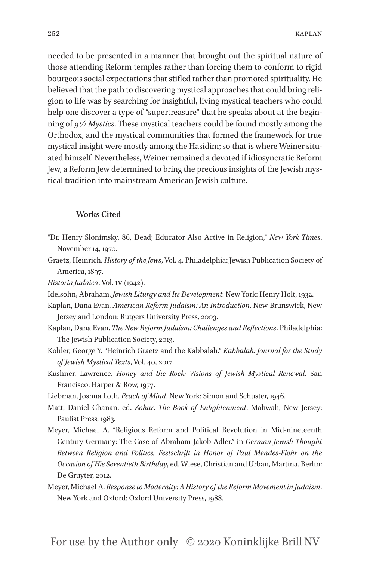needed to be presented in a manner that brought out the spiritual nature of those attending Reform temples rather than forcing them to conform to rigid bourgeois social expectations that stifled rather than promoted spirituality. He believed that the path to discovering mystical approaches that could bring religion to life was by searching for insightful, living mystical teachers who could help one discover a type of "supertreasure" that he speaks about at the beginning of *9½ Mystics*. These mystical teachers could be found mostly among the Orthodox, and the mystical communities that formed the framework for true mystical insight were mostly among the Hasidim; so that is where Weiner situated himself. Nevertheless, Weiner remained a devoted if idiosyncratic Reform Jew, a Reform Jew determined to bring the precious insights of the Jewish mystical tradition into mainstream American Jewish culture.

#### **Works Cited**

- "Dr. Henry Slonimsky, 86, Dead; Educator Also Active in Religion," *New York Times*, November 14, 1970.
- Graetz, Heinrich. *History of the Jews*, Vol. 4. Philadelphia: Jewish Publication Society of America, 1897.
- *Historia Judaica*, Vol. IV (1942).
- Idelsohn, Abraham. *Jewish Liturgy and Its Development*. New York: Henry Holt, 1932.
- Kaplan, Dana Evan. *American Reform Judaism: An Introduction*. New Brunswick, New Jersey and London: Rutgers University Press, 2003.
- Kaplan, Dana Evan. *The New Reform Judaism: Challenges and Reflections*. Philadelphia: The Jewish Publication Society, 2013.
- Kohler, George Y. "Heinrich Graetz and the Kabbalah." *Kabbalah: Journal for the Study of Jewish Mystical Texts*, Vol. 40, 2017.
- Kushner, Lawrence. *Honey and the Rock: Visions of Jewish Mystical Renewal*. San Francisco: Harper & Row, 1977.
- Liebman, Joshua Loth. *Peach of Mind*. New York: Simon and Schuster, 1946.
- Matt, Daniel Chanan, ed. *Zohar: The Book of Enlightenment*. Mahwah, New Jersey: Paulist Press, 1983.
- Meyer, Michael A. "Religious Reform and Political Revolution in Mid-nineteenth Century Germany: The Case of Abraham Jakob Adler." in *German-Jewish Thought Between Religion and Politics, Festschrift in Honor of Paul Mendes-Flohr on the Occasion of His Seventieth Birthday*, ed. Wiese, Christian and Urban, Martina. Berlin: De Gruyter, 2012.
- Meyer, Michael A. *Response to Modernity: A History of the Reform Movement in Judaism*. New York and Oxford: Oxford University Press, 1988.